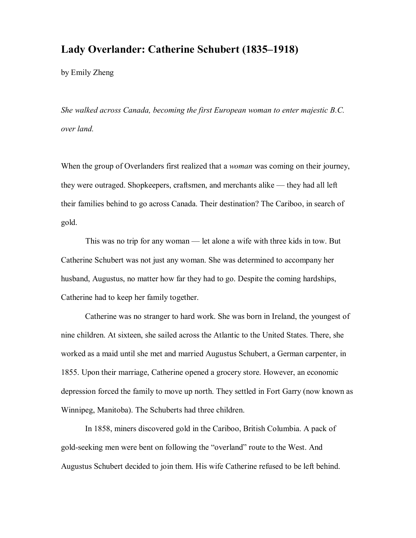## **Lady Overlander: Catherine Schubert (1835–1918)**

by Emily Zheng

*She walked across Canada, becoming the first European woman to enter majestic B.C. over land.*

When the group of Overlanders first realized that a *woman* was coming on their journey, they were outraged. Shopkeepers, craftsmen, and merchants alike — they had all left their families behind to go across Canada. Their destination? The Cariboo, in search of gold.

This was no trip for any woman — let alone a wife with three kids in tow. But Catherine Schubert was not just any woman. She was determined to accompany her husband, Augustus, no matter how far they had to go. Despite the coming hardships, Catherine had to keep her family together.

Catherine was no stranger to hard work. She was born in Ireland, the youngest of nine children. At sixteen, she sailed across the Atlantic to the United States. There, she worked as a maid until she met and married Augustus Schubert, a German carpenter, in 1855. Upon their marriage, Catherine opened a grocery store. However, an economic depression forced the family to move up north. They settled in Fort Garry (now known as Winnipeg, Manitoba). The Schuberts had three children.

In 1858, miners discovered gold in the Cariboo, British Columbia. A pack of goldseeking men were bent on following the "overland" route to the West. And Augustus Schubert decided to join them. His wife Catherine refused to be left behind.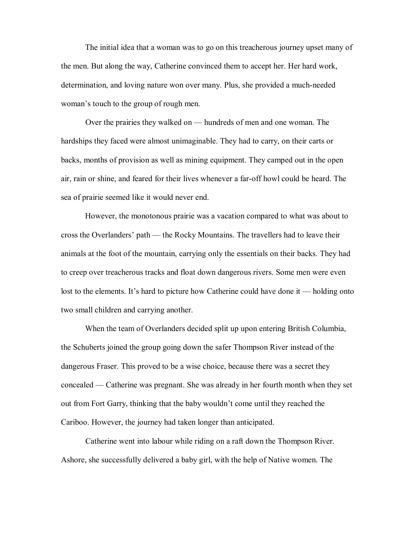The initial idea that a woman was to go on this treacherous journey upset many of the men. But along the way, Catherine convinced them to accept her. Her hard work, determination, and loving nature won over many. Plus, she provided a much-needed woman's touch to the group of rough men.

Over the prairies they walked on — hundreds of men and one woman. The hardships they faced were almost unimaginable. They had to carry, on their carts or backs, months of provision as well as mining equipment. They camped out in the open air, rain or shine, and feared for their lives whenever a faroff howl could be heard. The sea of prairie seemed like it would never end.

However, the monotonous prairie was a vacation compared to what was about to cross the Overlanders' path — the Rocky Mountains. The travellers had to leave their animals at the foot of the mountain, carrying only the essentials on their backs. They had to creep over treacherous tracks and float down dangerous rivers. Some men were even lost to the elements. It's hard to picture how Catherine could have done it — holding onto two small children and carrying another.

When the team of Overlanders decided split up upon entering British Columbia, the Schuberts joined the group going down the safer Thompson River instead of the dangerous Fraser. This proved to be a wise choice, because there was a secret they concealed — Catherine was pregnant. She was already in her fourth month when they set out from Fort Garry, thinking that the baby wouldn't come until they reached the Cariboo. However, the journey had taken longer than anticipated.

Catherine went into labour while riding on a raft down the Thompson River. Ashore, she successfully delivered a baby girl, with the help of Native women. The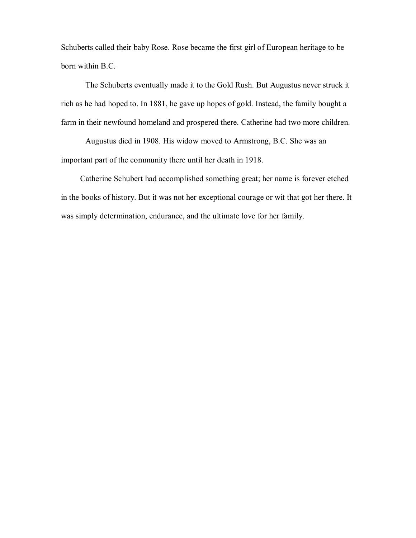Schuberts called their baby Rose. Rose became the first girl of European heritage to be born within B.C.

The Schuberts eventually made it to the Gold Rush. But Augustus never struck it rich as he had hoped to. In 1881, he gave up hopes of gold. Instead, the family bought a farm in their newfound homeland and prospered there. Catherine had two more children.

Augustus died in 1908. His widow moved to Armstrong, B.C. She was an important part of the community there until her death in 1918.

Catherine Schubert had accomplished something great; her name is forever etched in the books of history. But it was not her exceptional courage or wit that got her there. It was simply determination, endurance, and the ultimate love for her family.